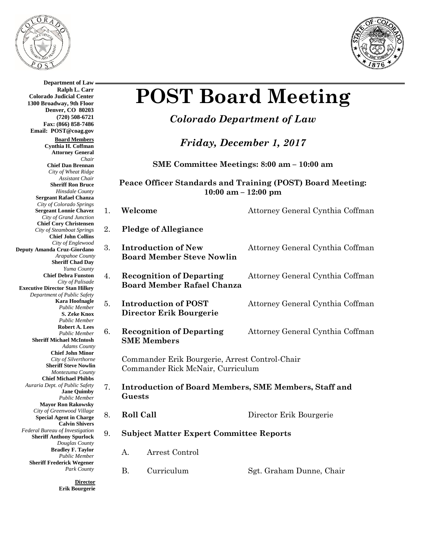

**Department of Law Ralph L. Carr**



# **POST Board Meeting**

*Colorado Department of Law*

*Friday, December 1, 2017*

**SME Committee Meetings: 8:00 am – 10:00 am**

**Peace Officer Standards and Training (POST) Board Meeting: 10:00 am – 12:00 pm**

| 1. | Welcome                                                                             | Attorney General Cynthia Coffman |  |
|----|-------------------------------------------------------------------------------------|----------------------------------|--|
| 2. | <b>Pledge of Allegiance</b>                                                         |                                  |  |
| 3. | <b>Introduction of New</b><br><b>Board Member Steve Nowlin</b>                      | Attorney General Cynthia Coffman |  |
| 4. | <b>Recognition of Departing</b><br><b>Board Member Rafael Chanza</b>                | Attorney General Cynthia Coffman |  |
| 5. | <b>Introduction of POST</b><br>Director Erik Bourgerie                              | Attorney General Cynthia Coffman |  |
| 6. | <b>Recognition of Departing</b><br><b>SME Members</b>                               | Attorney General Cynthia Coffman |  |
|    | Commander Erik Bourgerie, Arrest Control-Chair<br>Commander Rick McNair, Curriculum |                                  |  |
| 7. | <b>Introduction of Board Members, SME Members, Staff and</b><br>Guests              |                                  |  |
| 8. | <b>Roll Call</b>                                                                    | Director Erik Bourgerie          |  |
| 9. | <b>Subject Matter Expert Committee Reports</b>                                      |                                  |  |
|    | А.<br>Arrest Control                                                                |                                  |  |
|    | <b>B.</b><br>Curriculum                                                             | Sgt. Graham Dunne, Chair         |  |

**Colorado Judicial Center 1300 Broadway, 9th Floor Denver, CO 80203 (720) 508-6721 Fax: (866) 858-7486 Email: POST@coag.gov Board Members Cynthia H. Coffman Attorney General** *Chair* **Chief Dan Brennan** *City of Wheat Ridge Assistant Chair* **Sheriff Ron Bruce** *Hinsdale County* **Sergeant Rafael Chanza** *City of Colorado Springs* **Sergeant Lonnie Chavez** *City of Grand Junction* **Chief Cory Christensen** *City of Steamboat Springs* **Chief John Collins** *City of Englewood* **Deputy Amanda Cruz-Giordano** *Arapahoe County* **Sheriff Chad Day** *Yuma County* **Chief Debra Funston** *City of Palisade* **Executive Director Stan Hilkey** *Department of Public Safety* **Kara Hoofnagle** *Public Member* **S. Zeke Knox** *Public Member* **Robert A. Lees** *Public Member* **Sheriff Michael McIntosh** *Adams County* **Chief John Minor** *City of Silverthorne* **Sheriff Steve Nowlin** *Montezuma County*  **Chief Michael Phibbs** *Auraria Dept. of Public Safety* **Jane Quimby** *Public Member* **Mayor Ron Rakowsky** *City of Greenwood Village* **Special Agent in Charge Calvin Shivers** *Federal Bureau of Investigation* **Sheriff Anthony Spurlock** *Douglas County* **Bradley F. Taylor** *Public Member* **Sheriff Frederick Wegener** *Park County*

> **Director Erik Bourgerie**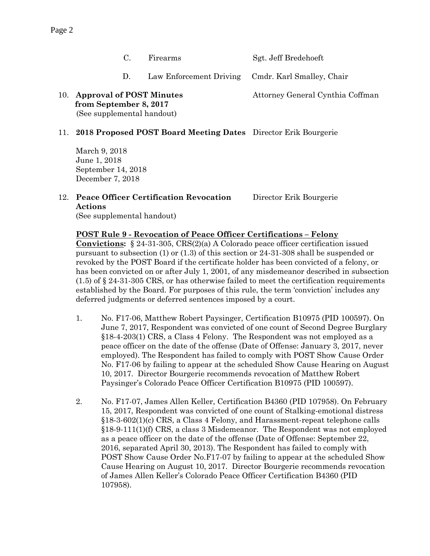C. Firearms Sgt. Jeff Bredehoeft

- D. Law Enforcement Driving Cmdr. Karl Smalley, Chair
- 10. **Approval of POST Minutes** Attorney General Cynthia Coffman  **from September 8, 2017** (See supplemental handout)

#### 11. **2018 Proposed POST Board Meeting Dates** Director Erik Bourgerie

March 9, 2018 June 1, 2018 September 14, 2018 December 7, 2018

#### 12. **Peace Officer Certification Revocation** Director Erik Bourgerie **Actions** (See supplemental handout)

#### **POST Rule 9 - Revocation of Peace Officer Certifications – Felony**

**Convictions:** § 24-31-305, CRS(2)(a) A Colorado peace officer certification issued pursuant to subsection (1) or (1.3) of this section or 24-31-308 shall be suspended or revoked by the POST Board if the certificate holder has been convicted of a felony, or has been convicted on or after July 1, 2001, of any misdemeanor described in subsection  $(1.5)$  of  $\S$  24-31-305 CRS, or has otherwise failed to meet the certification requirements established by the Board. For purposes of this rule, the term 'conviction' includes any deferred judgments or deferred sentences imposed by a court.

- 1. No. F17-06, Matthew Robert Paysinger, Certification B10975 (PID 100597). On June 7, 2017, Respondent was convicted of one count of Second Degree Burglary §18-4-203(1) CRS, a Class 4 Felony. The Respondent was not employed as a peace officer on the date of the offense (Date of Offense: January 3, 2017, never employed). The Respondent has failed to comply with POST Show Cause Order No. F17-06 by failing to appear at the scheduled Show Cause Hearing on August 10, 2017. Director Bourgerie recommends revocation of Matthew Robert Paysinger's Colorado Peace Officer Certification B10975 (PID 100597).
- 2. No. F17-07, James Allen Keller, Certification B4360 (PID 107958). On February 15, 2017, Respondent was convicted of one count of Stalking-emotional distress §18-3-602(1)(c) CRS, a Class 4 Felony, and Harassment-repeat telephone calls §18-9-111(1)(f) CRS, a class 3 Misdemeanor. The Respondent was not employed as a peace officer on the date of the offense (Date of Offense: September 22, 2016, separated April 30, 2013). The Respondent has failed to comply with POST Show Cause Order No.F17-07 by failing to appear at the scheduled Show Cause Hearing on August 10, 2017. Director Bourgerie recommends revocation of James Allen Keller's Colorado Peace Officer Certification B4360 (PID 107958).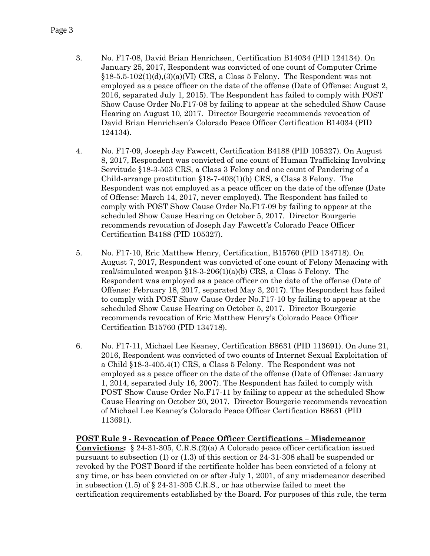- 3. No. F17-08, David Brian Henrichsen, Certification B14034 (PID 124134). On January 25, 2017, Respondent was convicted of one count of Computer Crime  $§18-5.5-102(1)(d),(3)(d)(V)$  CRS, a Class 5 Felony. The Respondent was not employed as a peace officer on the date of the offense (Date of Offense: August 2, 2016, separated July 1, 2015). The Respondent has failed to comply with POST Show Cause Order No.F17-08 by failing to appear at the scheduled Show Cause Hearing on August 10, 2017. Director Bourgerie recommends revocation of David Brian Henrichsen's Colorado Peace Officer Certification B14034 (PID 124134).
- 4. No. F17-09, Joseph Jay Fawcett, Certification B4188 (PID 105327). On August 8, 2017, Respondent was convicted of one count of Human Trafficking Involving Servitude §18-3-503 CRS, a Class 3 Felony and one count of Pandering of a Child-arrange prostitution §18-7-403(1)(b) CRS, a Class 3 Felony. The Respondent was not employed as a peace officer on the date of the offense (Date of Offense: March 14, 2017, never employed). The Respondent has failed to comply with POST Show Cause Order No.F17-09 by failing to appear at the scheduled Show Cause Hearing on October 5, 2017. Director Bourgerie recommends revocation of Joseph Jay Fawcett's Colorado Peace Officer Certification B4188 (PID 105327).
- 5. No. F17-10, Eric Matthew Henry, Certification, B15760 (PID 134718). On August 7, 2017, Respondent was convicted of one count of Felony Menacing with real/simulated weapon  $$18-3-206(1)(a)(b)$  CRS, a Class 5 Felony. The Respondent was employed as a peace officer on the date of the offense (Date of Offense: February 18, 2017, separated May 3, 2017). The Respondent has failed to comply with POST Show Cause Order No.F17-10 by failing to appear at the scheduled Show Cause Hearing on October 5, 2017. Director Bourgerie recommends revocation of Eric Matthew Henry's Colorado Peace Officer Certification B15760 (PID 134718).
- 6. No. F17-11, Michael Lee Keaney, Certification B8631 (PID 113691). On June 21, 2016, Respondent was convicted of two counts of Internet Sexual Exploitation of a Child §18-3-405.4(1) CRS, a Class 5 Felony. The Respondent was not employed as a peace officer on the date of the offense (Date of Offense: January 1, 2014, separated July 16, 2007). The Respondent has failed to comply with POST Show Cause Order No.F17-11 by failing to appear at the scheduled Show Cause Hearing on October 20, 2017. Director Bourgerie recommends revocation of Michael Lee Keaney's Colorado Peace Officer Certification B8631 (PID 113691).

#### **POST Rule 9 - Revocation of Peace Officer Certifications – Misdemeanor Convictions:** § 24-31-305, C.R.S.(2)(a) A Colorado peace officer certification issued pursuant to subsection (1) or (1.3) of this section or 24-31-308 shall be suspended or revoked by the POST Board if the certificate holder has been convicted of a felony at any time, or has been convicted on or after July 1, 2001, of any misdemeanor described in subsection  $(1.5)$  of § 24-31-305 C.R.S., or has otherwise failed to meet the certification requirements established by the Board. For purposes of this rule, the term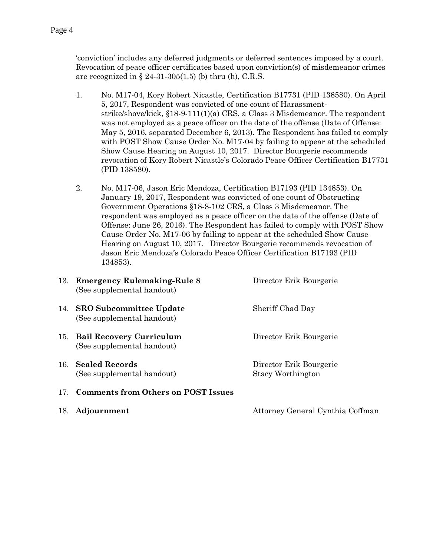- 'conviction' includes any deferred judgments or deferred sentences imposed by a court. Revocation of peace officer certificates based upon conviction(s) of misdemeanor crimes are recognized in  $\S 24-31-305(1.5)$  (b) thru (h), C.R.S.
- 1. No. M17-04, Kory Robert Nicastle, Certification B17731 (PID 138580). On April 5, 2017, Respondent was convicted of one count of Harassmentstrike/shove/kick, §18-9-111(1)(a) CRS, a Class 3 Misdemeanor. The respondent was not employed as a peace officer on the date of the offense (Date of Offense: May 5, 2016, separated December 6, 2013). The Respondent has failed to comply with POST Show Cause Order No. M17-04 by failing to appear at the scheduled Show Cause Hearing on August 10, 2017. Director Bourgerie recommends revocation of Kory Robert Nicastle's Colorado Peace Officer Certification B17731 (PID 138580).
- 2. No. M17-06, Jason Eric Mendoza, Certification B17193 (PID 134853). On January 19, 2017, Respondent was convicted of one count of Obstructing Government Operations §18-8-102 CRS, a Class 3 Misdemeanor. The respondent was employed as a peace officer on the date of the offense (Date of Offense: June 26, 2016). The Respondent has failed to comply with POST Show Cause Order No. M17-06 by failing to appear at the scheduled Show Cause Hearing on August 10, 2017. Director Bourgerie recommends revocation of Jason Eric Mendoza's Colorado Peace Officer Certification B17193 (PID 134853).

| 13. Emergency Rulemaking-Rule 8<br>(See supplemental handout) | Director Erik Bourgerie                             |
|---------------------------------------------------------------|-----------------------------------------------------|
| 14. SRO Subcommittee Update<br>(See supplemental handout)     | Sheriff Chad Day                                    |
| 15. Bail Recovery Curriculum<br>(See supplemental handout)    | Director Erik Bourgerie                             |
| 16. Sealed Records<br>(See supplemental handout)              | Director Erik Bourgerie<br><b>Stacy Worthington</b> |
| 17. Comments from Others on POST Issues                       |                                                     |
| 18. Adjournment                                               | Attorney General Cynthia Coffman                    |